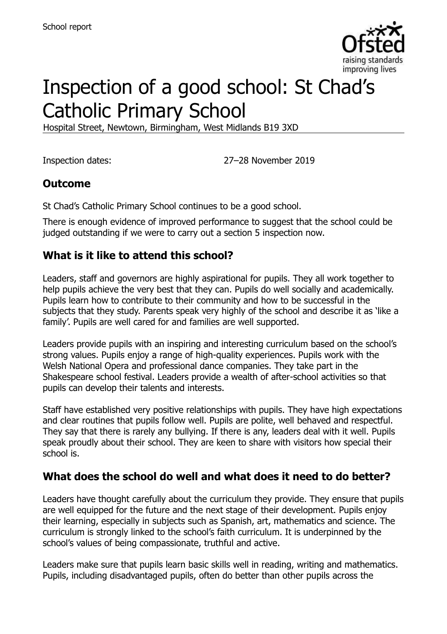

# Inspection of a good school: St Chad's Catholic Primary School

Hospital Street, Newtown, Birmingham, West Midlands B19 3XD

Inspection dates: 27–28 November 2019

# **Outcome**

St Chad's Catholic Primary School continues to be a good school.

There is enough evidence of improved performance to suggest that the school could be judged outstanding if we were to carry out a section 5 inspection now.

# **What is it like to attend this school?**

Leaders, staff and governors are highly aspirational for pupils. They all work together to help pupils achieve the very best that they can. Pupils do well socially and academically. Pupils learn how to contribute to their community and how to be successful in the subjects that they study. Parents speak very highly of the school and describe it as 'like a family'. Pupils are well cared for and families are well supported.

Leaders provide pupils with an inspiring and interesting curriculum based on the school's strong values. Pupils enjoy a range of high-quality experiences. Pupils work with the Welsh National Opera and professional dance companies. They take part in the Shakespeare school festival. Leaders provide a wealth of after-school activities so that pupils can develop their talents and interests.

Staff have established very positive relationships with pupils. They have high expectations and clear routines that pupils follow well. Pupils are polite, well behaved and respectful. They say that there is rarely any bullying. If there is any, leaders deal with it well. Pupils speak proudly about their school. They are keen to share with visitors how special their school is.

### **What does the school do well and what does it need to do better?**

Leaders have thought carefully about the curriculum they provide. They ensure that pupils are well equipped for the future and the next stage of their development. Pupils enjoy their learning, especially in subjects such as Spanish, art, mathematics and science. The curriculum is strongly linked to the school's faith curriculum. It is underpinned by the school's values of being compassionate, truthful and active.

Leaders make sure that pupils learn basic skills well in reading, writing and mathematics. Pupils, including disadvantaged pupils, often do better than other pupils across the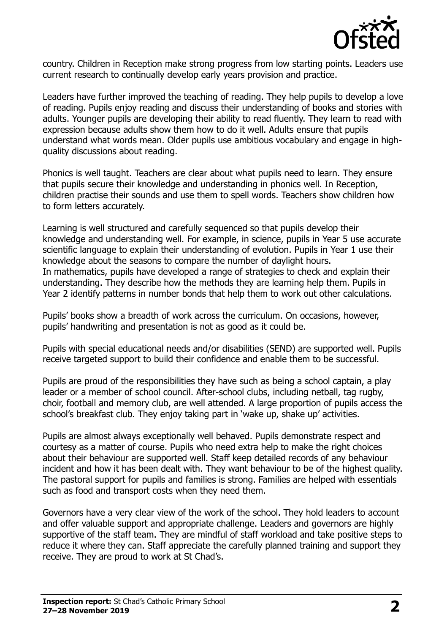

country. Children in Reception make strong progress from low starting points. Leaders use current research to continually develop early years provision and practice.

Leaders have further improved the teaching of reading. They help pupils to develop a love of reading. Pupils enjoy reading and discuss their understanding of books and stories with adults. Younger pupils are developing their ability to read fluently. They learn to read with expression because adults show them how to do it well. Adults ensure that pupils understand what words mean. Older pupils use ambitious vocabulary and engage in highquality discussions about reading.

Phonics is well taught. Teachers are clear about what pupils need to learn. They ensure that pupils secure their knowledge and understanding in phonics well. In Reception, children practise their sounds and use them to spell words. Teachers show children how to form letters accurately.

Learning is well structured and carefully sequenced so that pupils develop their knowledge and understanding well. For example, in science, pupils in Year 5 use accurate scientific language to explain their understanding of evolution. Pupils in Year 1 use their knowledge about the seasons to compare the number of daylight hours. In mathematics, pupils have developed a range of strategies to check and explain their understanding. They describe how the methods they are learning help them. Pupils in Year 2 identify patterns in number bonds that help them to work out other calculations.

Pupils' books show a breadth of work across the curriculum. On occasions, however, pupils' handwriting and presentation is not as good as it could be.

Pupils with special educational needs and/or disabilities (SEND) are supported well. Pupils receive targeted support to build their confidence and enable them to be successful.

Pupils are proud of the responsibilities they have such as being a school captain, a play leader or a member of school council. After-school clubs, including netball, tag rugby, choir, football and memory club, are well attended. A large proportion of pupils access the school's breakfast club. They enjoy taking part in 'wake up, shake up' activities.

Pupils are almost always exceptionally well behaved. Pupils demonstrate respect and courtesy as a matter of course. Pupils who need extra help to make the right choices about their behaviour are supported well. Staff keep detailed records of any behaviour incident and how it has been dealt with. They want behaviour to be of the highest quality. The pastoral support for pupils and families is strong. Families are helped with essentials such as food and transport costs when they need them.

Governors have a very clear view of the work of the school. They hold leaders to account and offer valuable support and appropriate challenge. Leaders and governors are highly supportive of the staff team. They are mindful of staff workload and take positive steps to reduce it where they can. Staff appreciate the carefully planned training and support they receive. They are proud to work at St Chad's.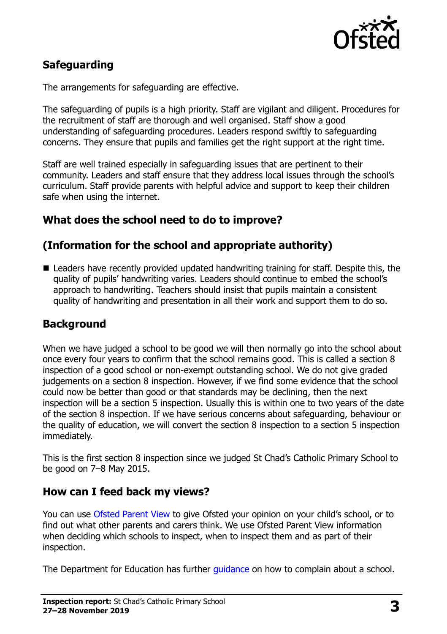

# **Safeguarding**

The arrangements for safeguarding are effective.

The safeguarding of pupils is a high priority. Staff are vigilant and diligent. Procedures for the recruitment of staff are thorough and well organised. Staff show a good understanding of safeguarding procedures. Leaders respond swiftly to safeguarding concerns. They ensure that pupils and families get the right support at the right time.

Staff are well trained especially in safeguarding issues that are pertinent to their community. Leaders and staff ensure that they address local issues through the school's curriculum. Staff provide parents with helpful advice and support to keep their children safe when using the internet.

#### **What does the school need to do to improve?**

### **(Information for the school and appropriate authority)**

 Leaders have recently provided updated handwriting training for staff. Despite this, the quality of pupils' handwriting varies. Leaders should continue to embed the school's approach to handwriting. Teachers should insist that pupils maintain a consistent quality of handwriting and presentation in all their work and support them to do so.

### **Background**

When we have judged a school to be good we will then normally go into the school about once every four years to confirm that the school remains good. This is called a section 8 inspection of a good school or non-exempt outstanding school. We do not give graded judgements on a section 8 inspection. However, if we find some evidence that the school could now be better than good or that standards may be declining, then the next inspection will be a section 5 inspection. Usually this is within one to two years of the date of the section 8 inspection. If we have serious concerns about safeguarding, behaviour or the quality of education, we will convert the section 8 inspection to a section 5 inspection immediately.

This is the first section 8 inspection since we judged St Chad's Catholic Primary School to be good on 7–8 May 2015.

#### **How can I feed back my views?**

You can use [Ofsted Parent View](https://parentview.ofsted.gov.uk/) to give Ofsted your opinion on your child's school, or to find out what other parents and carers think. We use Ofsted Parent View information when deciding which schools to inspect, when to inspect them and as part of their inspection.

The Department for Education has further quidance on how to complain about a school.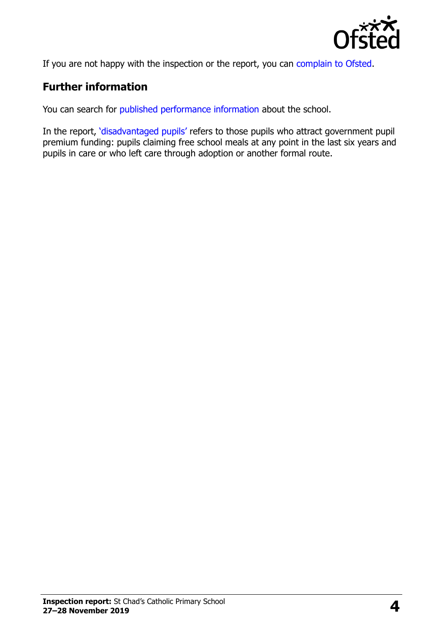

If you are not happy with the inspection or the report, you can [complain to Ofsted.](https://www.gov.uk/complain-ofsted-report)

# **Further information**

You can search for [published performance information](http://www.compare-school-performance.service.gov.uk/) about the school.

In the report, '[disadvantaged pupils](http://www.gov.uk/guidance/pupil-premium-information-for-schools-and-alternative-provision-settings)' refers to those pupils who attract government pupil premium funding: pupils claiming free school meals at any point in the last six years and pupils in care or who left care through adoption or another formal route.

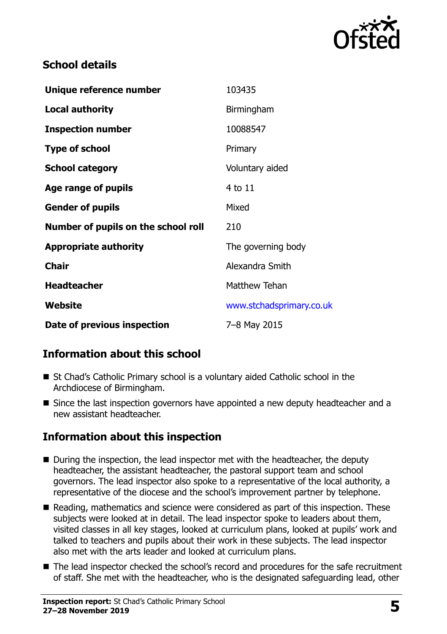

## **School details**

| Unique reference number             | 103435                   |
|-------------------------------------|--------------------------|
| <b>Local authority</b>              | Birmingham               |
| <b>Inspection number</b>            | 10088547                 |
| <b>Type of school</b>               | Primary                  |
| <b>School category</b>              | Voluntary aided          |
| Age range of pupils                 | 4 to 11                  |
| <b>Gender of pupils</b>             | Mixed                    |
| Number of pupils on the school roll | 210                      |
| <b>Appropriate authority</b>        | The governing body       |
| <b>Chair</b>                        | Alexandra Smith          |
| <b>Headteacher</b>                  | <b>Matthew Tehan</b>     |
| Website                             | www.stchadsprimary.co.uk |
| Date of previous inspection         | 7-8 May 2015             |

# **Information about this school**

- St Chad's Catholic Primary school is a voluntary aided Catholic school in the Archdiocese of Birmingham.
- Since the last inspection governors have appointed a new deputy headteacher and a new assistant headteacher.

# **Information about this inspection**

- During the inspection, the lead inspector met with the headteacher, the deputy headteacher, the assistant headteacher, the pastoral support team and school governors. The lead inspector also spoke to a representative of the local authority, a representative of the diocese and the school's improvement partner by telephone.
- Reading, mathematics and science were considered as part of this inspection. These subjects were looked at in detail. The lead inspector spoke to leaders about them, visited classes in all key stages, looked at curriculum plans, looked at pupils' work and talked to teachers and pupils about their work in these subjects. The lead inspector also met with the arts leader and looked at curriculum plans.
- The lead inspector checked the school's record and procedures for the safe recruitment of staff. She met with the headteacher, who is the designated safeguarding lead, other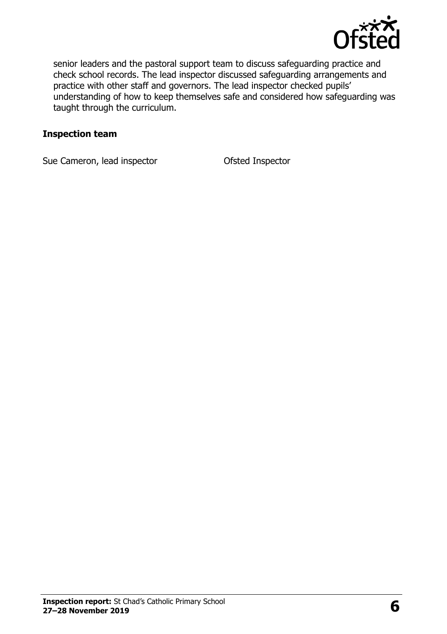

senior leaders and the pastoral support team to discuss safeguarding practice and check school records. The lead inspector discussed safeguarding arrangements and practice with other staff and governors. The lead inspector checked pupils' understanding of how to keep themselves safe and considered how safeguarding was taught through the curriculum.

#### **Inspection team**

Sue Cameron, lead inspector **Cameron** Ofsted Inspector